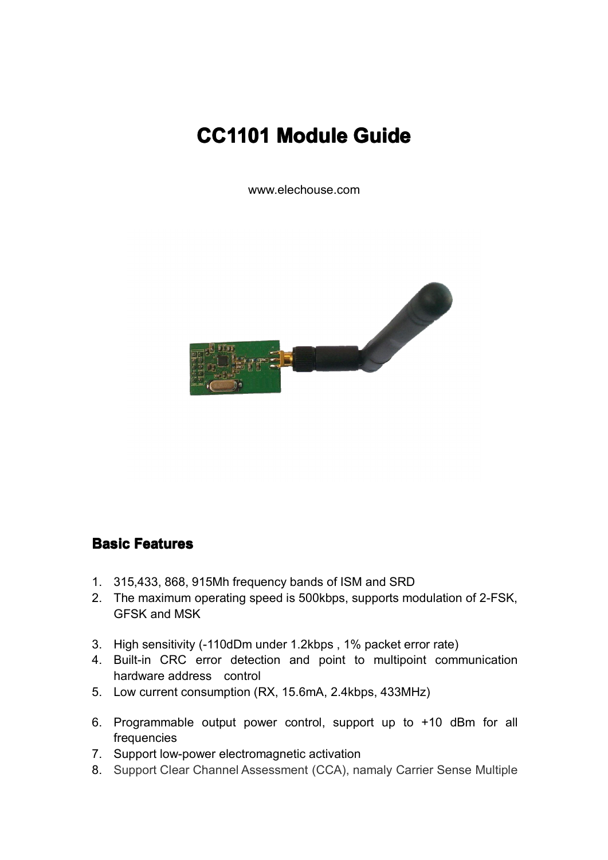# **CC1101 Module Guide**

www.elechouse.com



## **Basic Features eatures eatures**

- 1. 315,433, 868, 915Mh frequency bands of ISM and SRD
- 2. The maximum operating speed is 500kbps, supports modulation of 2-FSK, GFSK and MSK
- 3. High sensitivity (-110dDm under 1.2kbps , 1% packet error rate)
- 4. Built-in CRC error detection and point to multipoint communication hardware address control
- 5. Low current consumption (RX, 15.6mA, 2.4kbps, 433MHz)
- 6. Programmable output power control, support up to +10 dBm for all frequencies
- 7. Support low-power electromagnetic activation
- 8. Support Clear Channel Assessment (CCA), namaly Carrier Sense Multiple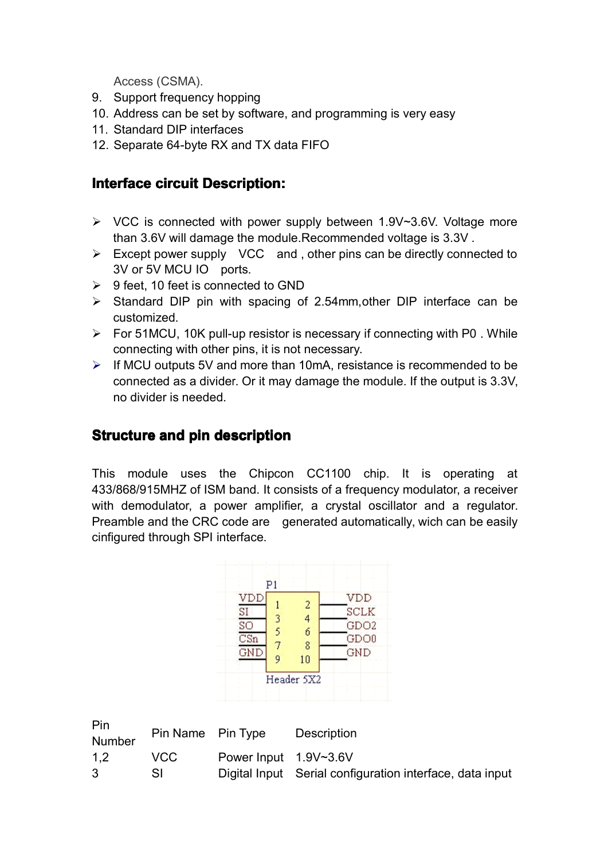Access (CSMA).

- 9. Support frequency hopping
- 10. Address can be set by software, and programming is very easy
- 11. Standard DIP interfaces
- 12. Separate 64-byte RX and TX data FIFO

# **Interface circuit Description:**

- $\triangleright$  VCC is connected with power supply between 1.9V~3.6V. Voltage more than 3.6V will damage the module.Recommended voltage is 3.3V .
- $\triangleright$  Except power supply VCC and , other pins can be directly connected to 3V or 5V MCU IO ports.
- $\geq$  9 feet, 10 feet is connected to GND
- $\triangleright$  Standard DIP pin with spacing of 2.54mm, other DIP interface can be customized.
- $\triangleright$  For 51MCU, 10K pull-up resistor is necessary if connecting with P0. While connecting with other pins, it is not necessary.
- $\triangleright$  If MCU outputs 5V and more than 10mA, resistance is recommended to be connected as <sup>a</sup> divider. Or it may damage the module. If the output is 3.3V, no divider is needed.

# **Structure tructure and pin description description**

This module uses the Chipcon CC1100 chip. It is operating at 433/868/915MHZ of ISM band. It consists of <sup>a</sup> frequency modulator, <sup>a</sup> receiver with demodulator, <sup>a</sup> power amplifier, <sup>a</sup> crystal oscillator and <sup>a</sup> regulator. Preamble and the CRC code are generated automatically, wich can be easily cinfigured through SPI interface.



| Pin.<br>Number | Pin Name Pin Type |                       | Description                                              |
|----------------|-------------------|-----------------------|----------------------------------------------------------|
| 1.2            | VCC.              | Power Input 1.9V~3.6V |                                                          |
| -3.            |                   |                       | Digital Input Serial configuration interface, data input |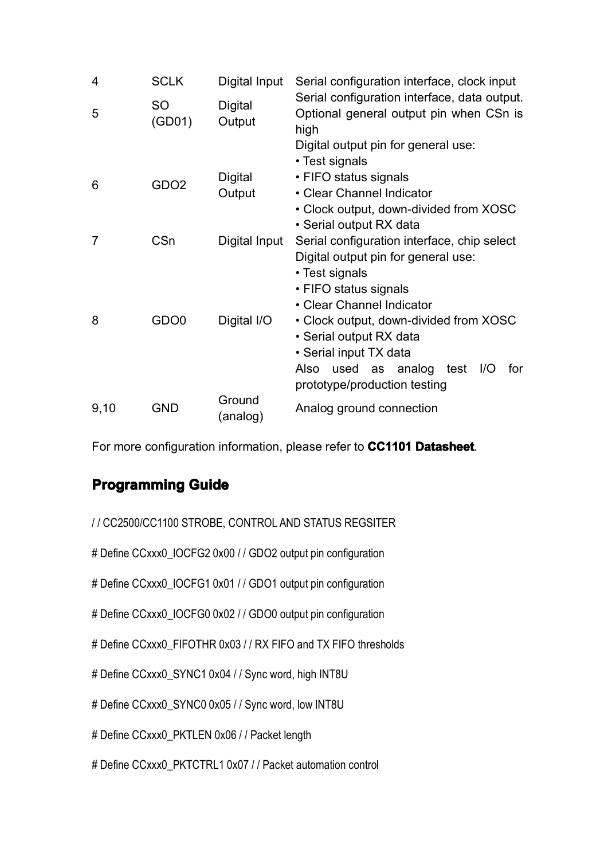| 4              | <b>SCLK</b>         | Digital Input      | Serial configuration interface, clock input                                                     |
|----------------|---------------------|--------------------|-------------------------------------------------------------------------------------------------|
| 5              | <b>SO</b><br>(GD01) | Digital<br>Output  | Serial configuration interface, data output.<br>Optional general output pin when CSn is<br>high |
|                |                     |                    | Digital output pin for general use:<br>• Test signals                                           |
| 6              | GDO <sub>2</sub>    | <b>Digital</b>     | • FIFO status signals                                                                           |
|                |                     | Output             | • Clear Channel Indicator                                                                       |
|                |                     |                    | • Clock output, down-divided from XOSC                                                          |
|                |                     |                    | • Serial output RX data                                                                         |
| $\overline{7}$ | CSn                 | Digital Input      | Serial configuration interface, chip select                                                     |
|                |                     |                    | Digital output pin for general use:                                                             |
|                |                     |                    | • Test signals                                                                                  |
|                |                     |                    | • FIFO status signals                                                                           |
|                |                     |                    | • Clear Channel Indicator                                                                       |
| 8              | GDO <sub>0</sub>    | Digital I/O        | • Clock output, down-divided from XOSC                                                          |
|                |                     |                    | • Serial output RX data                                                                         |
|                |                     |                    | • Serial input TX data                                                                          |
|                |                     |                    | Also used as analog<br>test I/O<br>for<br>prototype/production testing                          |
| 9,10           | <b>GND</b>          | Ground<br>(analog) | Analog ground connection                                                                        |

For more configuration information, please refer to CC1101 Datasheet.

# **Programming Programming Guide**

| // CC2500/CC1100 STROBE, CONTROL AND STATUS REGSITER |
|------------------------------------------------------|
|------------------------------------------------------|

# Define CCxxx0\_IOCFG2 0x00 / / GDO2 output pin configuration

# Define CCxxx0\_IOCFG1 0x01 / / GDO1 output pin configuration

# Define CCxxx0\_IOCFG0 0x02 / / GDO0 output pin configuration

# Define CCxxx0\_FIFOTHR 0x03 / / RX FIFO and TX FIFO thresholds

# Define CCxxx0\_SYNC1 0x04 / / Sync word, high INT8U

# Define CCxxx0\_SYNC0 0x05 / / Sync word, low INT8U

# Define CCxxx0 PKTLEN 0x06 / / Packet length

#### # Define CCxxx0\_PKTCTRL1 0x07 / / Packet automation control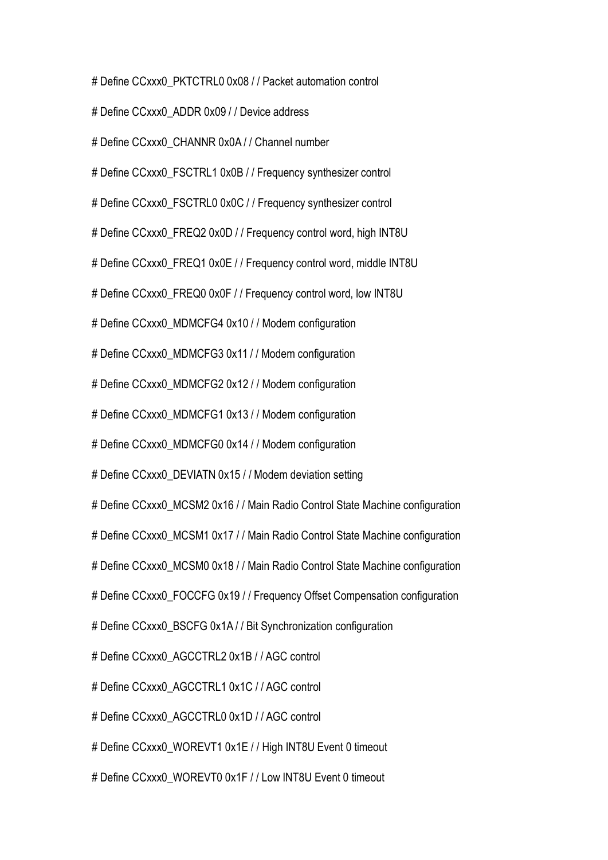# Define CCxxx0\_PKTCTRL0 0x08 / / Packet automation control

# Define CCxxx0\_ADDR 0x09 / / Device address

# Define CCxxx0\_CHANNR 0x0A / / Channel number

# Define CCxxx0\_FSCTRL1 0x0B / / Frequency synthesizer control

# Define CCxxx0\_FSCTRL0 0x0C / / Frequency synthesizer control

# Define CCxxx0\_FREQ2 0x0D / / Frequency control word, high INT8U

# Define CCxxx0\_FREQ1 0x0E / / Frequency control word, middle INT8U

# Define CCxxx0\_FREQ0 0x0F / / Frequency control word, low INT8U

# Define CCxxx0\_MDMCFG4 0x10 / / Modem configuration

# Define CCxxx0\_MDMCFG3 0x11 / / Modem configuration

# Define CCxxx0\_MDMCFG2 0x12 / / Modem configuration

# Define CCxxx0\_MDMCFG1 0x13 / / Modem configuration

# Define CCxxx0\_MDMCFG0 0x14 / / Modem configuration

# Define CCxxx0\_DEVIATN 0x15 / / Modem deviation setting

# Define CCxxx0\_MCSM2 0x16 / / Main Radio Control State Machine configuration

# Define CCxxx0 MCSM1 0x17 / / Main Radio Control State Machine configuration

# Define CCxxx0\_MCSM0 0x18 / / Main Radio Control State Machine configuration

# Define CCxxx0\_FOCCFG 0x19 / / Frequency Offset Compensation configuration

# Define CCxxx0\_BSCFG 0x1A / / Bit Synchronization configuration

# Define CCxxx0\_AGCCTRL2 0x1B / / AGC control

# Define CCxxx0\_AGCCTRL1 0x1C / / AGC control

# Define CCxxx0\_AGCCTRL0 0x1D / / AGC control

# Define CCxxx0 WOREVT1 0x1E / / High INT8U Event 0 timeout

# Define CCxxx0\_WOREVT0 0x1F / / Low INT8U Event 0 timeout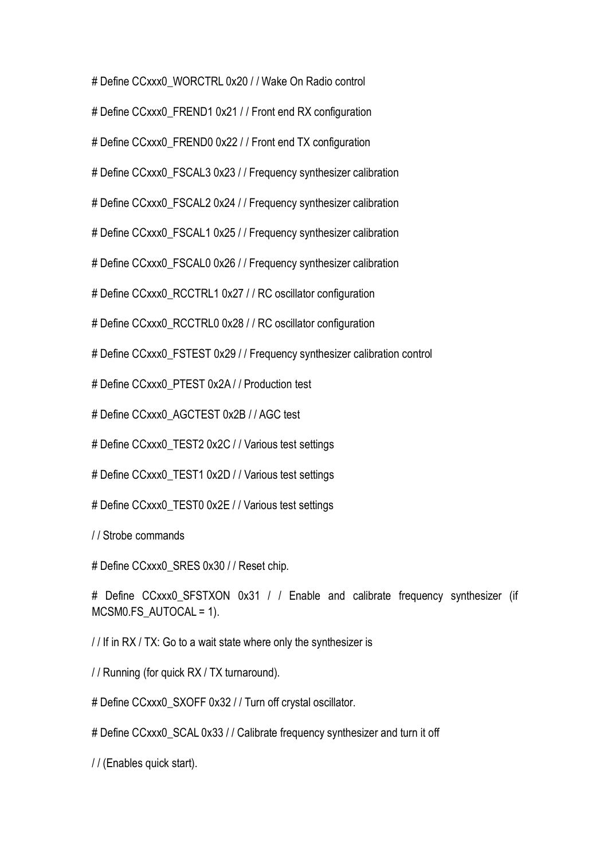# Define CCxxx0\_WORCTRL 0x20 / / Wake On Radio control

# Define CCxxx0\_FREND1 0x21 / / Front end RX configuration

# Define CCxxx0\_FREND0 0x22 / / Front end TX configuration

# Define CCxxx0\_FSCAL3 0x23 / / Frequency synthesizer calibration

# Define CCxxx0 FSCAL2 0x24 / / Frequency synthesizer calibration

# Define CCxxx0\_FSCAL1 0x25 / / Frequency synthesizer calibration

# Define CCxxx0\_FSCAL0 0x26 / / Frequency synthesizer calibration

# Define CCxxx0\_RCCTRL1 0x27 / / RC oscillator configuration

# Define CCxxx0\_RCCTRL0 0x28 / / RC oscillator configuration

# Define CCxxx0\_FSTEST 0x29 / / Frequency synthesizer calibration control

# Define CCxxx0\_PTEST 0x2A / / Production test

# Define CCxxx0\_AGCTEST 0x2B / / AGC test

# Define CCxxx0\_TEST2 0x2C / / Various test settings

# Define CCxxx0\_TEST1 0x2D / / Various test settings

# Define CCxxx0\_TEST0 0x2E / / Various test settings

/ / Strobe commands

# Define CCxxx0\_SRES 0x30 / / Reset chip.

# Define CCxxx0\_SFSTXON 0x31 / / Enable and calibrate frequency synthesizer (if MCSM0.FS\_AUTOCAL <sup>=</sup> 1).

/ / If in RX / TX: Go to <sup>a</sup> wait state where only the synthesizer is

/ / Running (for quick RX / TX turnaround).

# Define CCxxx0\_SXOFF 0x32 / / Turn off crystal oscillator.

# Define CCxxx0\_SCAL 0x33 / / Calibrate frequency synthesizer and turn it off

/ / (Enables quick start).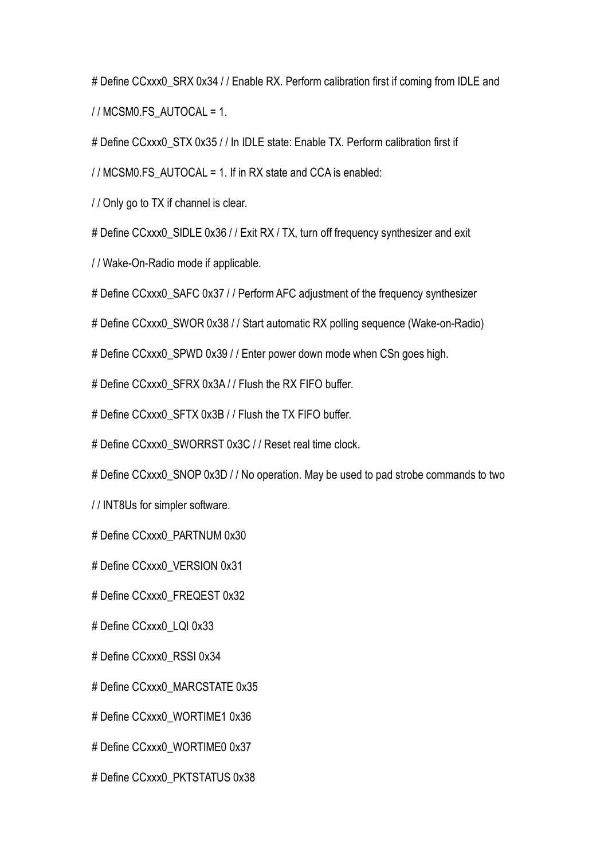# Define CCxxx0\_SRX 0x34 / / Enable RX. Perform calibration first if coming from IDLE and

/ / MCSM0.FS\_AUTOCAL <sup>=</sup> 1.

# Define CCxxx0\_STX 0x35 / / In IDLE state: Enable TX. Perform calibration first if

/ / MCSM0.FS\_AUTOCAL <sup>=</sup> 1. If in RX state and CCA is enabled:

/ / Only go to TX if channel is clear.

# Define CCxxx0\_SIDLE 0x36 / / Exit RX / TX, turn off frequency synthesizer and exit

/ / Wake-On-Radio mode if applicable.

# Define CCxxx0\_SAFC 0x37 / / Perform AFC adjustment of the frequency synthesizer

# Define CCxxx0\_SWOR 0x38 / / Start automatic RX polling sequence (Wake-on-Radio)

# Define CCxxx0 SPWD 0x39 / / Enter power down mode when CSn goes high.

# Define CCxxx0\_SFRX 0x3A / / Flush the RX FIFO buffer.

# Define CCxxx0 SFTX 0x3B / / Flush the TX FIFO buffer.

# Define CCxxx0\_SWORRST 0x3C / / Reset real time clock.

# Define CCxxx0 SNOP 0x3D / / No operation. May be used to pad strobe commands to two

/ / INT8Us for simpler software.

# Define CCxxx0\_PARTNUM 0x30

# Define CCxxx0\_VERSION 0x31

# Define CCxxx0\_FREQEST 0x32

# Define CCxxx0\_LQI 0x33

# Define CCxxx0\_RSSI 0x34

# Define CCxxx0\_MARCSTATE 0x35

# Define CCxxx0\_WORTIME1 0x36

# Define CCxxx0\_WORTIME0 0x37

# Define CCxxx0\_PKTSTATUS 0x38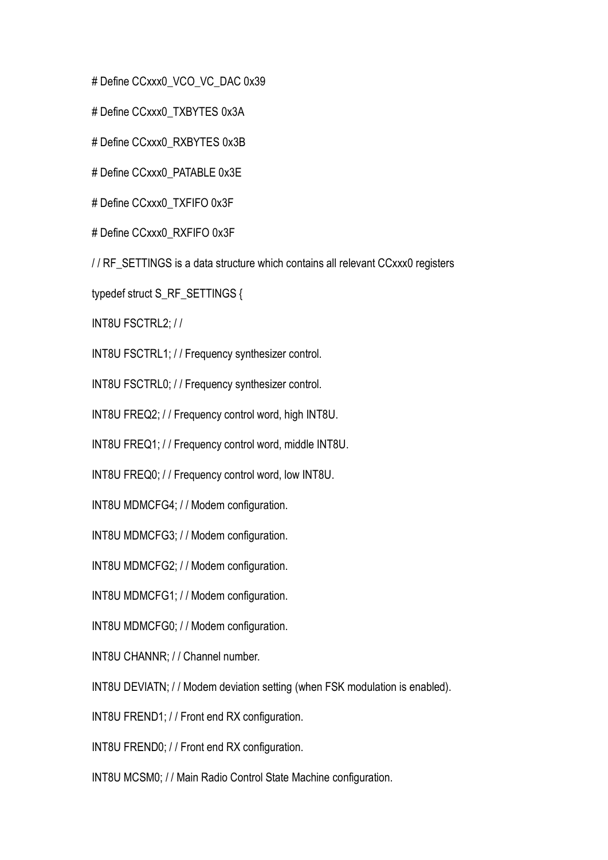# Define CCxxx0\_VCO\_VC\_DAC 0x39

# Define CCxxx0\_TXBYTES 0x3A

# Define CCxxx0\_RXBYTES 0x3B

# Define CCxxx0\_PATABLE 0x3E

# Define CCxxx0\_TXFIFO 0x3F

# Define CCxxx0\_RXFIFO 0x3F

/ / RF\_SETTINGS is <sup>a</sup> data structure which contains all relevant CCxxx0 registers

typedef struct S\_RF\_SETTINGS {

INT8U FSCTRL2; / /

INT8U FSCTRL1; / / Frequency synthesizer control.

INT8U FSCTRL0; / / Frequency synthesizer control.

INT8U FREQ2; / / Frequency control word, high INT8U.

INT8U FREQ1; / / Frequency control word, middle INT8U.

INT8U FREQ0; / / Frequency control word, low INT8U.

INT8U MDMCFG4; / / Modem configuration.

INT8U MDMCFG3; / / Modem configuration.

INT8U MDMCFG2; / / Modem configuration.

INT8U MDMCFG1; / / Modem configuration.

INT8U MDMCFG0; / / Modem configuration.

INT8U CHANNR; / / Channel number.

INT8U DEVIATN; / / Modem deviation setting (when FSK modulation is enabled).

INT8U FREND1; / / Front end RX configuration.

INT8U FREND0; / / Front end RX configuration.

INT8U MCSM0; / / Main Radio Control State Machine configuration.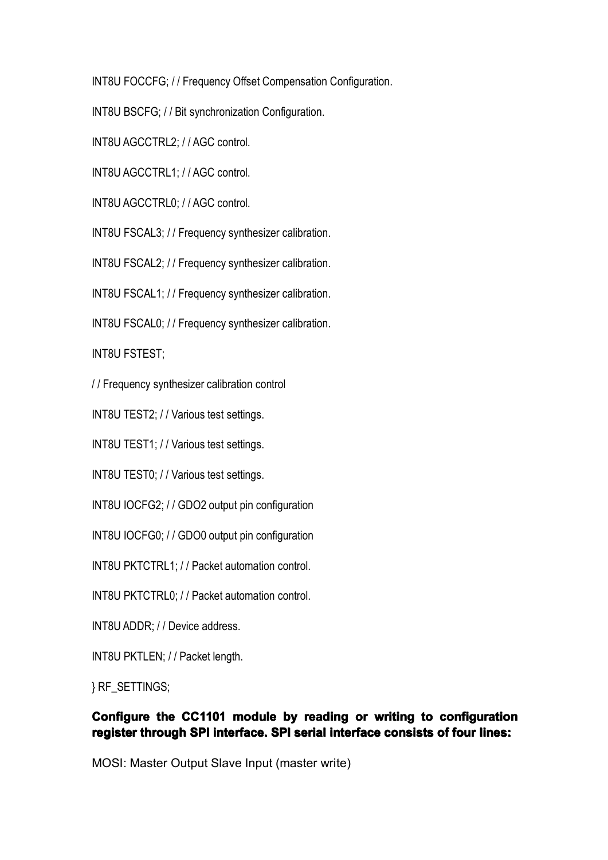INT8U FOCCFG; / / Frequency Offset Compensation Configuration.

INT8U BSCFG; / / Bit synchronization Configuration.

INT8U AGCCTRL2; / / AGC control.

INT8U AGCCTRL1; // AGC control.

INT8U AGCCTRL0: // AGC control.

INT8U FSCAL3; / / Frequency synthesizer calibration.

INT8U FSCAL2; / / Frequency synthesizer calibration.

INT8U FSCAL1; / / Frequency synthesizer calibration.

INT8U FSCAL0; / / Frequency synthesizer calibration.

INT8U FSTEST;

/ / Frequency synthesizer calibration control

INT8U TEST2; / / Various test settings.

INT8U TEST1; / / Various test settings.

INT8U TEST0; / / Various test settings.

INT8U IOCFG2; / / GDO2 output pin configuration

INT8U IOCFG0; / / GDO0 output pin configuration

INT8U PKTCTRL1; / / Packet automation control.

INT8U PKTCTRL0; / / Packet automation control.

INT8U ADDR; / / Device address.

INT8U PKTLEN; / / Packet length.

} RF\_SETTINGS;

#### Configure the CC1101 module by reading or writing to configuration register through SPI interface. SPI serial interface consists of four lines:

MOSI: Master Output Slave Input (master write)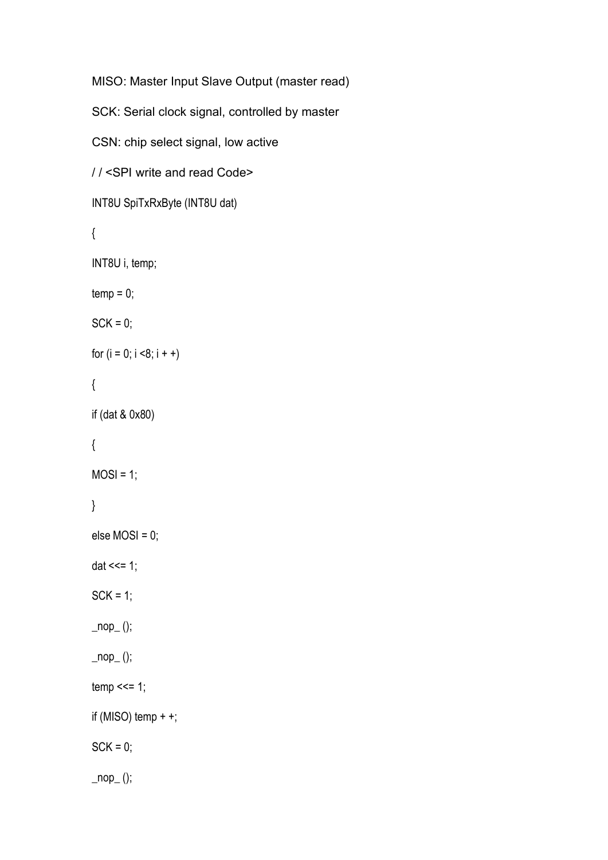```
MISO: Master Input Slave Output (master read)
SCK: Serial clock signal, controlled by master
CSN: chip select signal, low active
/ / <SPI write and read Code>
INT8U SpiTxRxByte (INT8U dat)
{
INT8U i, temp;
temp = 0;SCK = 0;
for (i = 0; i < 8; i++){
if (dat & 0x80)
{
MOSI = 1;
}
else MOSI = 0;
dat <<= 1;
SCK = 1;
\_nop_();
\text{top}(;
temp \leq 1;
if (MISO) temp ++;SCK = 0;
\text{loop}_{-}();
```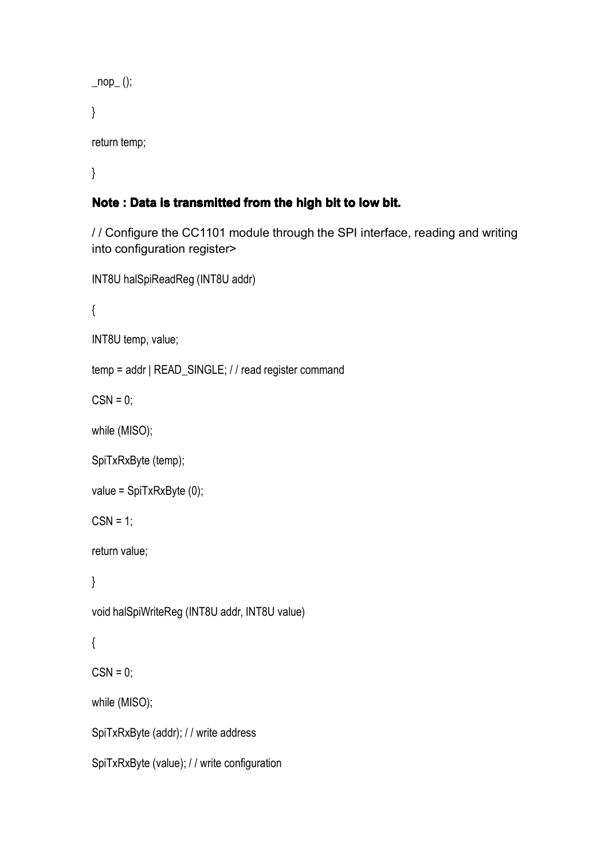```
\_nop_();
}
```
return temp;

}

## **Note : Data is transmi transmitransmitted from the high bit to low bit.**

/ / Configure the CC1101 module through the SPI interface, reading and writing into configuration register>

```
INT8U halSpiReadReg (INT8U addr)
```
{

```
INT8U temp, value;
```

```
temp = addr | READ_SINGLE; / / read register command
```
 $CSN = 0$ ;

while (MISO);

```
SpiTxRxByte (temp);
```

```
value = SpiTxRxByte (0);
```
 $CSN = 1$ ;

return value;

}

void halSpiWriteReg (INT8U addr, INT8U value)

```
{
```
 $CSN = 0;$ 

while (MISO);

SpiTxRxByte (addr); / / write address

```
SpiTxRxByte (value); / / write configuration
```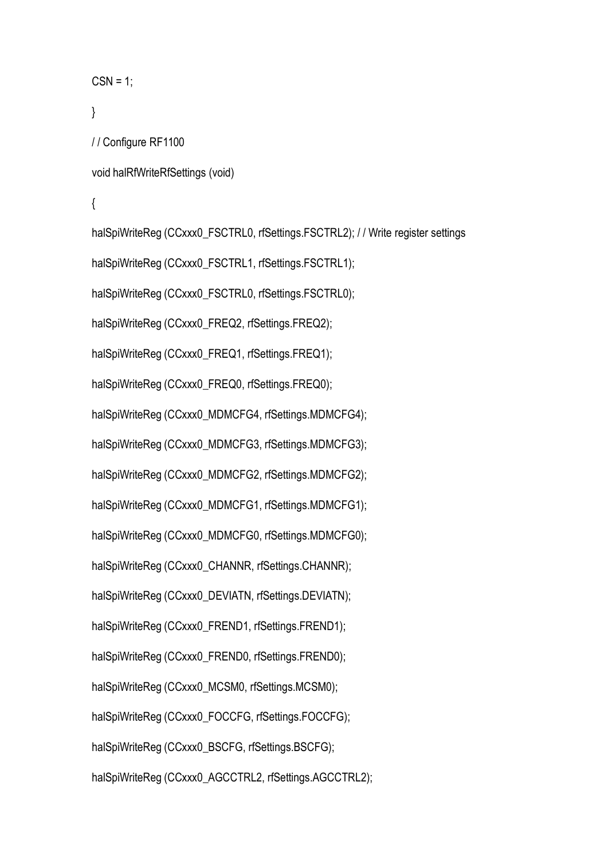```
CSN = 1;
}
```

```
/ / Configure RF1100
```

```
void halRfWriteRfSettings (void)
```
{

halSpiWriteReg (CCxxx0\_FSCTRL0, rfSettings.FSCTRL2); / / Write register settings halSpiWriteReg (CCxxx0\_FSCTRL1, rfSettings.FSCTRL1); halSpiWriteReg (CCxxx0\_FSCTRL0, rfSettings.FSCTRL0); halSpiWriteReg (CCxxx0\_FREQ2, rfSettings.FREQ2); halSpiWriteReg (CCxxx0\_FREQ1, rfSettings.FREQ1); halSpiWriteReg (CCxxx0\_FREQ0, rfSettings.FREQ0); halSpiWriteReg (CCxxx0\_MDMCFG4, rfSettings.MDMCFG4); halSpiWriteReg (CCxxx0\_MDMCFG3, rfSettings.MDMCFG3); halSpiWriteReg (CCxxx0\_MDMCFG2, rfSettings.MDMCFG2); halSpiWriteReg (CCxxx0\_MDMCFG1, rfSettings.MDMCFG1); halSpiWriteReg (CCxxx0\_MDMCFG0, rfSettings.MDMCFG0); halSpiWriteReg (CCxxx0\_CHANNR, rfSettings.CHANNR); halSpiWriteReg (CCxxx0\_DEVIATN, rfSettings.DEVIATN); halSpiWriteReg (CCxxx0\_FREND1, rfSettings.FREND1); halSpiWriteReg (CCxxx0\_FREND0, rfSettings.FREND0); halSpiWriteReg (CCxxx0\_MCSM0, rfSettings.MCSM0); halSpiWriteReg (CCxxx0\_FOCCFG, rfSettings.FOCCFG); halSpiWriteReg (CCxxx0\_BSCFG, rfSettings.BSCFG); halSpiWriteReg (CCxxx0\_AGCCTRL2, rfSettings.AGCCTRL2);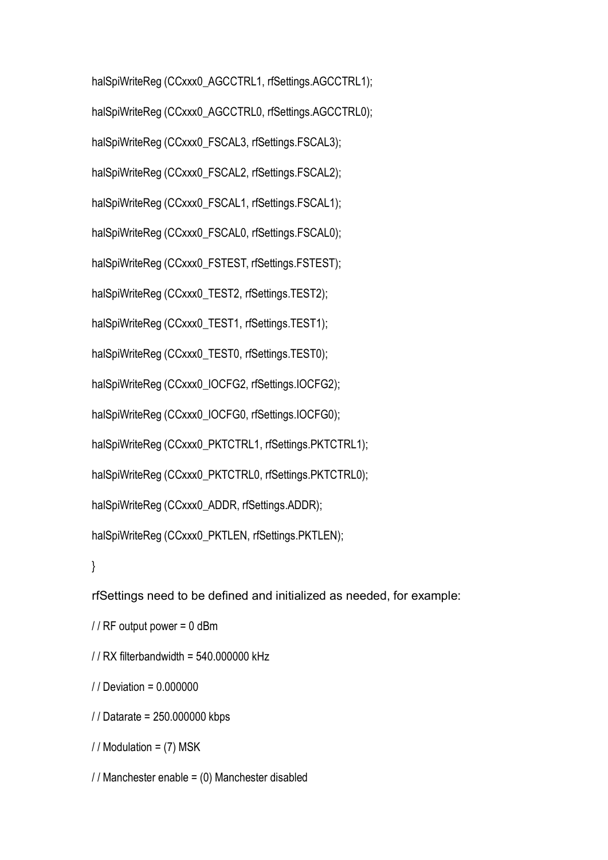halSpiWriteReg (CCxxx0\_AGCCTRL1, rfSettings.AGCCTRL1); halSpiWriteReg (CCxxx0\_AGCCTRL0, rfSettings.AGCCTRL0); halSpiWriteReg (CCxxx0\_FSCAL3, rfSettings.FSCAL3); halSpiWriteReg (CCxxx0\_FSCAL2, rfSettings.FSCAL2); halSpiWriteReg (CCxxx0\_FSCAL1, rfSettings.FSCAL1); halSpiWriteReg (CCxxx0\_FSCAL0, rfSettings.FSCAL0); halSpiWriteReg (CCxxx0\_FSTEST, rfSettings.FSTEST); halSpiWriteReg (CCxxx0\_TEST2, rfSettings.TEST2); halSpiWriteReg (CCxxx0\_TEST1, rfSettings.TEST1); halSpiWriteReg (CCxxx0\_TEST0, rfSettings.TEST0); halSpiWriteReg (CCxxx0\_IOCFG2, rfSettings.IOCFG2); halSpiWriteReg (CCxxx0\_IOCFG0, rfSettings.IOCFG0); halSpiWriteReg (CCxxx0\_PKTCTRL1, rfSettings.PKTCTRL1); halSpiWriteReg (CCxxx0\_PKTCTRL0, rfSettings.PKTCTRL0); halSpiWriteReg (CCxxx0\_ADDR, rfSettings.ADDR); halSpiWriteReg (CCxxx0\_PKTLEN, rfSettings.PKTLEN); }

rfSettings need to be defined and initialized as needed, for example:

 $// RF$  output power = 0 dBm

/ / RX filterbandwidth <sup>=</sup> 540.000000 kHz

/ / Deviation <sup>=</sup> 0.000000

/ / Datarate <sup>=</sup> 250.000000 kbps

 $//$  Modulation = (7) MSK

/ / Manchester enable <sup>=</sup> (0) Manchester disabled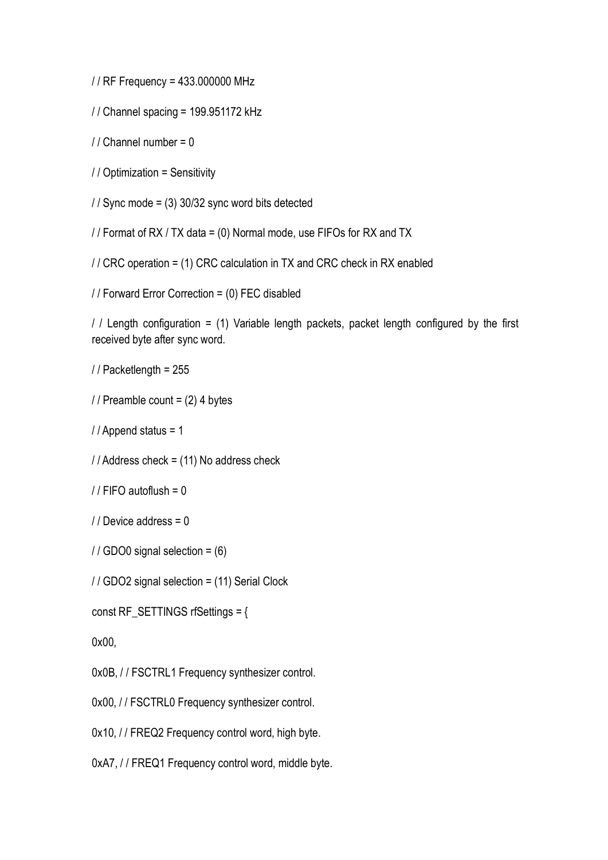/ / RF Frequency <sup>=</sup> 433.000000 MHz

/ / Channel spacing <sup>=</sup> 199.951172 kHz

 $1/$  Channel number = 0

/ / Optimization <sup>=</sup> Sensitivity

/ / Sync mode <sup>=</sup> (3) 30/32 sync word bits detected

/ / Format of RX / TX data <sup>=</sup> (0) Normal mode, use FIFOs for RX and TX

/ / CRC operation <sup>=</sup> (1) CRC calculation in TX and CRC check in RX enabled

/ / Forward Error Correction <sup>=</sup> (0) FEC disabled

/  $\ell$  Length configuration = (1) Variable length packets, packet length configured by the first received byte after sync word.

/ / Packetlength <sup>=</sup> 255

 $//$  Preamble count =  $(2)$  4 bytes

/ / Append status <sup>=</sup> 1

/ / Address check <sup>=</sup> (11) No address check

 $//$  FIFO autoflush = 0

/ / Device address <sup>=</sup> 0

/ / GDO0 signal selection <sup>=</sup> (6)

/ / GDO2 signal selection <sup>=</sup> (11) Serial Clock

const RF\_SETTINGS rfSettings <sup>=</sup> {

0x00,

0x0B, / / FSCTRL1 Frequency synthesizer control.

0x00, // FSCTRL0 Frequency synthesizer control.

0x10, // FREQ2 Frequency control word, high byte.

0xA7, / / FREQ1 Frequency control word, middle byte.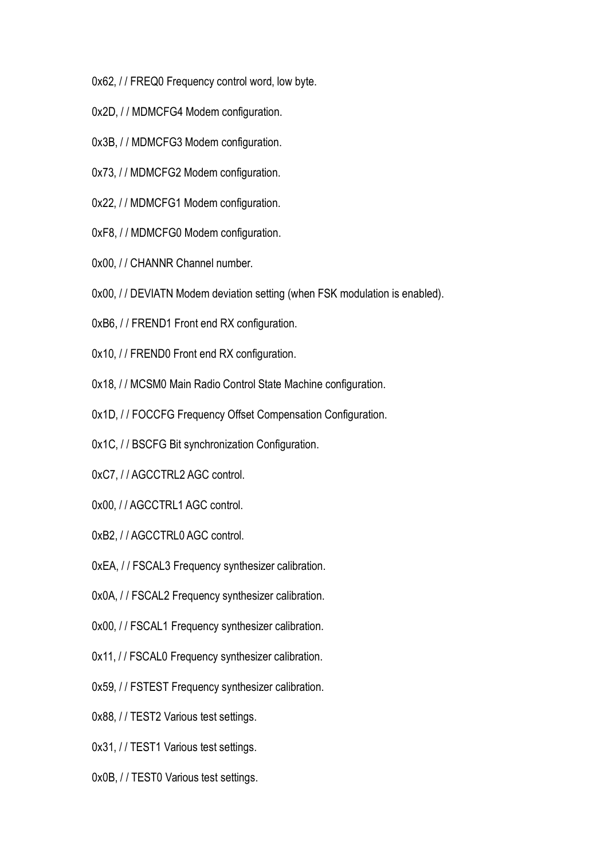0x62, / / FREQ0 Frequency control word, low byte.

- 0x2D, / / MDMCFG4 Modem configuration.
- 0x3B, / / MDMCFG3 Modem configuration.
- 0x73, / / MDMCFG2 Modem configuration.
- 0x22, / / MDMCFG1 Modem configuration.
- 0xF8, / / MDMCFG0 Modem configuration.
- 0x00, // CHANNR Channel number.
- 0x00, // DEVIATN Modem deviation setting (when FSK modulation is enabled).
- 0xB6, / / FREND1 Front end RX configuration.
- 0x10, // FREND0 Front end RX configuration.
- 0x18, // MCSM0 Main Radio Control State Machine configuration.
- 0x1D, / / FOCCFG Frequency Offset Compensation Configuration.
- 0x1C, / / BSCFG Bit synchronization Configuration.
- 0xC7, / / AGCCTRL2 AGC control.
- 0x00, // AGCCTRL1 AGC control.
- 0xB2, / / AGCCTRL0 AGC control.
- 0xEA, / / FSCAL3 Frequency synthesizer calibration.
- 0x0A, / / FSCAL2 Frequency synthesizer calibration.
- 0x00, // FSCAL1 Frequency synthesizer calibration.
- 0x11, // FSCAL0 Frequency synthesizer calibration.
- 0x59, / / FSTEST Frequency synthesizer calibration.
- 0x88, / / TEST2 Various test settings.
- 0x31, // TEST1 Various test settings.
- 0x0B, / / TEST0 Various test settings.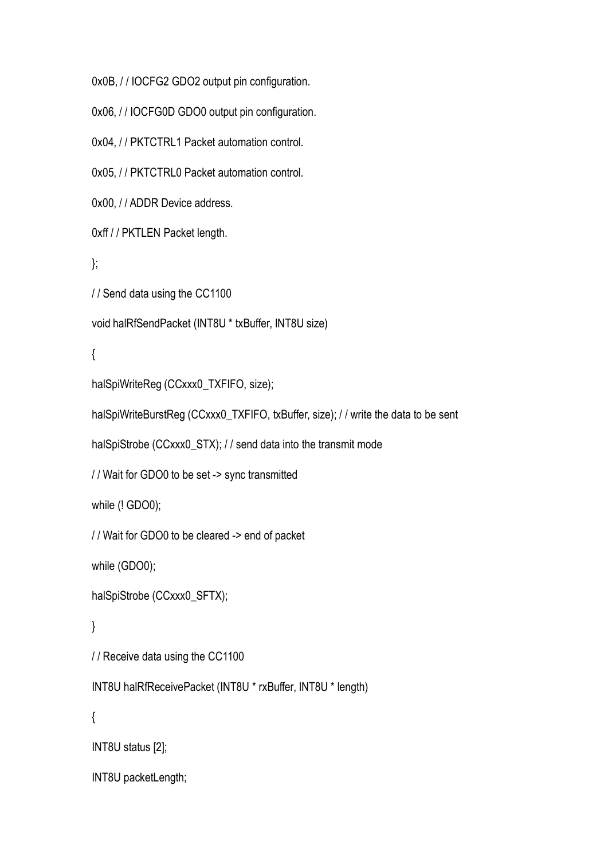0x0B, / / IOCFG2 GDO2 output pin configuration.

0x06, // IOCFG0D GDO0 output pin configuration.

0x04, / / PKTCTRL1 Packet automation control.

0x05, / / PKTCTRL0 Packet automation control.

0x00, // ADDR Device address.

0xff / / PKTLEN Packet length.

};

/ / Send data using the CC1100

```
void halRfSendPacket (INT8U * txBuffer, INT8U size)
```
{

```
halSpiWriteReg (CCxxx0_TXFIFO, size);
```
halSpiWriteBurstReg (CCxxx0\_TXFIFO, txBuffer, size); // write the data to be sent

halSpiStrobe (CCxxx0\_STX); / / send data into the transmit mode

/ / Wait for GDO0 to be set -> sync transmitted

while (! GDO0);

/ / Wait for GDO0 to be cleared -> end of packet

while (GDO0);

halSpiStrobe (CCxxx0\_SFTX);

}

/ / Receive data using the CC1100

INT8U halRfReceivePacket (INT8U \* rxBuffer, INT8U \* length)

{

INT8U status [2];

INT8U packetLength;